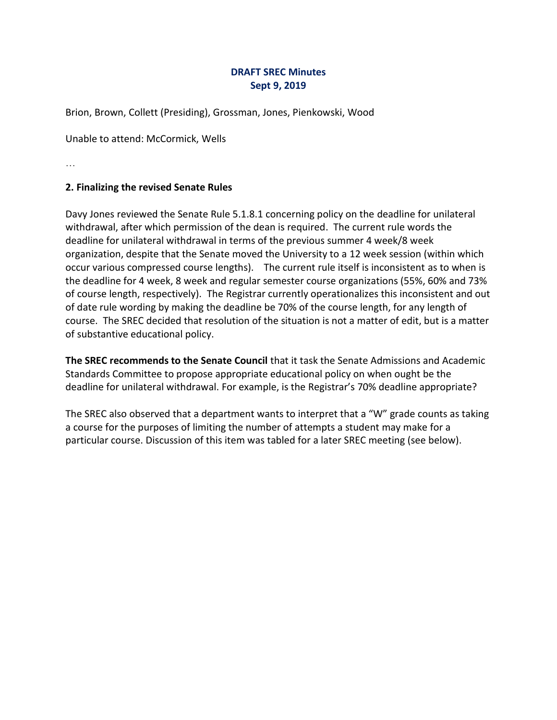### **DRAFT SREC Minutes Sept 9, 2019**

Brion, Brown, Collett (Presiding), Grossman, Jones, Pienkowski, Wood

Unable to attend: McCormick, Wells

…

#### **2. Finalizing the revised Senate Rules**

Davy Jones reviewed the Senate Rule 5.1.8.1 concerning policy on the deadline for unilateral withdrawal, after which permission of the dean is required. The current rule words the deadline for unilateral withdrawal in terms of the previous summer 4 week/8 week organization, despite that the Senate moved the University to a 12 week session (within which occur various compressed course lengths). The current rule itself is inconsistent as to when is the deadline for 4 week, 8 week and regular semester course organizations (55%, 60% and 73% of course length, respectively). The Registrar currently operationalizes this inconsistent and out of date rule wording by making the deadline be 70% of the course length, for any length of course. The SREC decided that resolution of the situation is not a matter of edit, but is a matter of substantive educational policy.

**The SREC recommends to the Senate Council** that it task the Senate Admissions and Academic Standards Committee to propose appropriate educational policy on when ought be the deadline for unilateral withdrawal. For example, is the Registrar's 70% deadline appropriate?

The SREC also observed that a department wants to interpret that a "W" grade counts as taking a course for the purposes of limiting the number of attempts a student may make for a particular course. Discussion of this item was tabled for a later SREC meeting (see below).